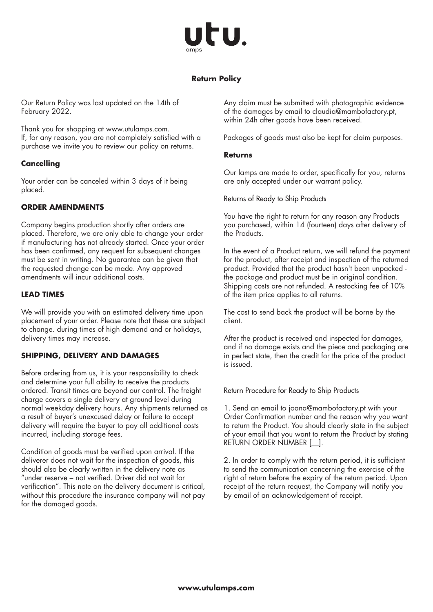

# **Return Policy**

Our Return Policy was last updated on the 14th of February 2022.

Thank you for shopping at www.utulamps.com. If, for any reason, you are not completely satisfied with a purchase we invite you to review our policy on returns.

## **Cancelling**

Your order can be canceled within 3 days of it being placed.

## **ORDER AMENDMENTS**

Company begins production shortly after orders are placed. Therefore, we are only able to change your order if manufacturing has not already started. Once your order has been confirmed, any request for subsequent changes must be sent in writing. No guarantee can be given that the requested change can be made. Any approved amendments will incur additional costs.

#### **LEAD TIMES**

We will provide you with an estimated delivery time upon placement of your order. Please note that these are subject to change. during times of high demand and or holidays, delivery times may increase.

## **SHIPPING, DELIVERY AND DAMAGES**

Before ordering from us, it is your responsibility to check and determine your full ability to receive the products ordered. Transit times are beyond our control. The freight charge covers a single delivery at ground level during normal weekday delivery hours. Any shipments returned as a result of buyer's unexcused delay or failure to accept delivery will require the buyer to pay all additional costs incurred, including storage fees.

Condition of goods must be verified upon arrival. If the deliverer does not wait for the inspection of goods, this should also be clearly written in the delivery note as "under reserve – not verified. Driver did not wait for verification". This note on the delivery document is critical, without this procedure the insurance company will not pay for the damaged goods.

Any claim must be submitted with photographic evidence of the damages by email to claudia@mambofactory.pt, within 24h after goods have been received.

Packages of goods must also be kept for claim purposes.

#### **Returns**

Our lamps are made to order, specifically for you, returns are only accepted under our warrant policy.

Returns of Ready to Ship Products

You have the right to return for any reason any Products you purchased, within 14 (fourteen) days after delivery of the Products.

In the event of a Product return, we will refund the payment for the product, after receipt and inspection of the returned product. Provided that the product hasn't been unpacked the package and product must be in original condition. Shipping costs are not refunded. A restocking fee of 10% of the item price applies to all returns.

The cost to send back the product will be borne by the client.

After the product is received and inspected for damages, and if no damage exists and the piece and packaging are in perfect state, then the credit for the price of the product is issued.

#### Return Procedure for Ready to Ship Products

1. Send an email to joana@mambofactory.pt with your Order Confirmation number and the reason why you want to return the Product. You should clearly state in the subject of your email that you want to return the Product by stating RETURN ORDER NUMBER [ ].

2. In order to comply with the return period, it is sufficient to send the communication concerning the exercise of the right of return before the expiry of the return period. Upon receipt of the return request, the Company will notify you by email of an acknowledgement of receipt.